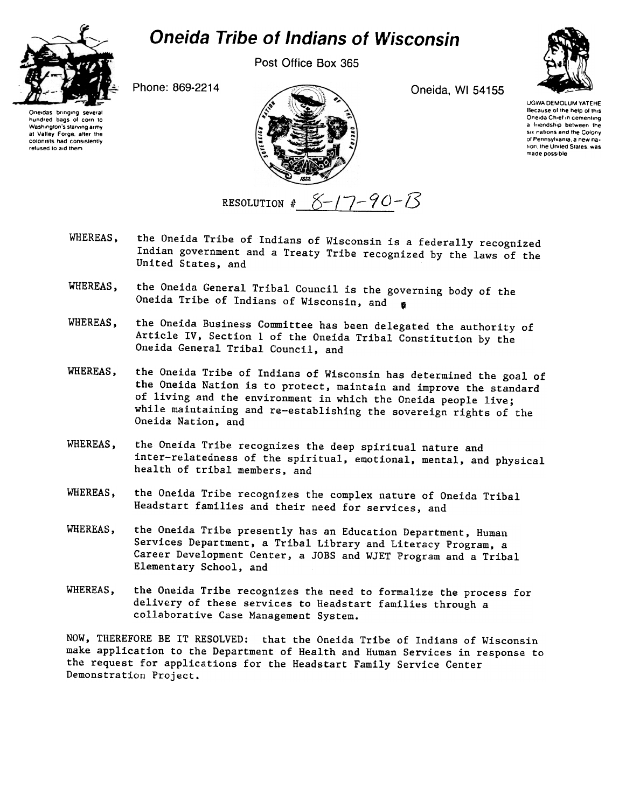## **Oneida Tribe of Indians of Wisconsin**

Post Office Box 365



Phone: 869-2214

Oneida, WI 54155



UGWA DEMOLUM YATEHE Because of the help of this Oneida Chief in cementing a friendship between the six nations and the Colony of Pennsylvania, a new nation, the United States, was made possible

Oneidas bringing several hundred bags of corn to Washington's starving army at Valley Forge, after the colonists had consistently refused to aid them



- the Oneida Tribe of Indians of Wisconsin is a federally recognized WHEREAS. Indian government and a Treaty Tribe recognized by the laws of the United States, and
- the Oneida General Tribal Council is the governing body of the WHEREAS. Oneida Tribe of Indians of Wisconsin, and
- the Oneida Business Committee has been delegated the authority of WHEREAS, Article IV, Section 1 of the Oneida Tribal Constitution by the Oneida General Tribal Council, and
- the Oneida Tribe of Indians of Wisconsin has determined the goal of WHEREAS. the Oneida Nation is to protect, maintain and improve the standard of living and the environment in which the Oneida people live; while maintaining and re-establishing the sovereign rights of the Oneida Nation, and
- WHEREAS, the Oneida Tribe recognizes the deep spiritual nature and inter-relatedness of the spiritual, emotional, mental, and physical health of tribal members, and
- WHEREAS. the Oneida Tribe recognizes the complex nature of Oneida Tribal Headstart families and their need for services, and
- the Oneida Tribe presently has an Education Department, Human WHEREAS, Services Department, a Tribal Library and Literacy Program, a Career Development Center, a JOBS and WJET Program and a Tribal Elementary School, and
- WHEREAS. the Oneida Tribe recognizes the need to formalize the process for delivery of these services to Headstart families through a collaborative Case Management System.

NOW, THEREFORE BE IT RESOLVED: that the Oneida Tribe of Indians of Wisconsin make application to the Department of Health and Human Services in response to the request for applications for the Headstart Family Service Center Demonstration Project.